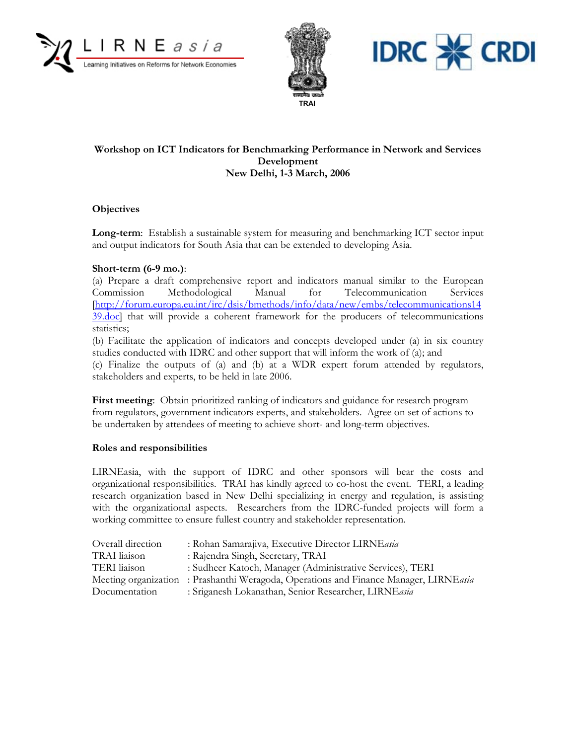





## **Workshop on ICT Indicators for Benchmarking Performance in Network and Services Development New Delhi, 1-3 March, 2006**

### **Objectives**

**Long-term**: Establish a sustainable system for measuring and benchmarking ICT sector input and output indicators for South Asia that can be extended to developing Asia.

#### **Short-term (6-9 mo.)**:

(a) Prepare a draft comprehensive report and indicators manual similar to the European Commission Methodological Manual for Telecommunication Services [http://forum.europa.eu.int/irc/dsis/bmethods/info/data/new/embs/telecommunications14 39.doc] that will provide a coherent framework for the producers of telecommunications statistics;

(b) Facilitate the application of indicators and concepts developed under (a) in six country studies conducted with IDRC and other support that will inform the work of (a); and

(c) Finalize the outputs of (a) and (b) at a WDR expert forum attended by regulators, stakeholders and experts, to be held in late 2006.

**First meeting**: Obtain prioritized ranking of indicators and guidance for research program from regulators, government indicators experts, and stakeholders. Agree on set of actions to be undertaken by attendees of meeting to achieve short- and long-term objectives.

#### **Roles and responsibilities**

LIRNEasia, with the support of IDRC and other sponsors will bear the costs and organizational responsibilities. TRAI has kindly agreed to co-host the event. TERI, a leading research organization based in New Delhi specializing in energy and regulation, is assisting with the organizational aspects. Researchers from the IDRC-funded projects will form a working committee to ensure fullest country and stakeholder representation.

| Overall direction | : Rohan Samarajiva, Executive Director LIRNEasia                                      |  |
|-------------------|---------------------------------------------------------------------------------------|--|
| TRAI liaison      | : Rajendra Singh, Secretary, TRAI                                                     |  |
| TERI liaison      | : Sudheer Katoch, Manager (Administrative Services), TERI                             |  |
|                   | Meeting organization : Prashanthi Weragoda, Operations and Finance Manager, LIRNEasia |  |
| Documentation     | : Sriganesh Lokanathan, Senior Researcher, LIRNEasia                                  |  |